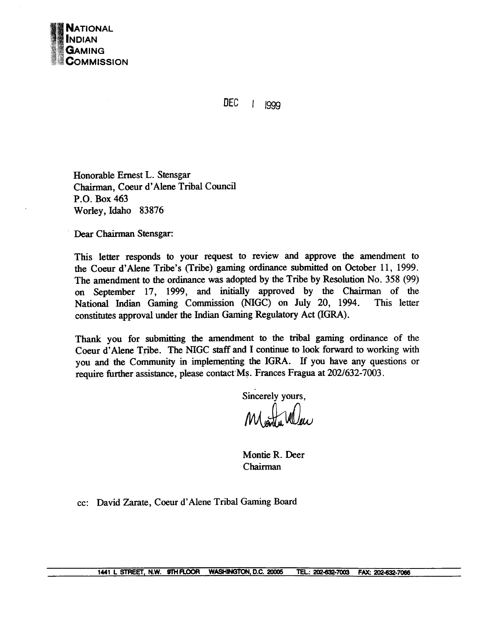

**DEC**  $\mathbf{I}$ 1999

Honorable Ernest L. Stensgar Chairman, Coeur d' Alene Tribal Council P.O. Box 463 Worley, Idaho 83876

Dear Chairman Stensgar:

This letter responds to your request to review and approve the amendment to the Coeur d'Alene Tribe's (Tribe) gaming ordinance submitted on October 11, 1999. The amendment to the ordinance was adopted by the Tribe by Resolution No. 358 (99) on September 17, 1999, and initially approved by the Chairman of the National Indian Gaming Commission WGC) on July 20, 1994. This letter constitutes approval under the Indian Gaming Regulatory Act (IGRA).

Thank you for submitting the amendment to the tribal gaming ordinance of the Coeur d'Alene Tribe. The **NIGC** staff and I continue to look forward to working with you and the Community in implementing the IGRA. If you have any questions or require further assistance, please contact Ms. Frances Fragua at 202/632-7003.

Sincerely yours,

Montie R. Deer Chairman

cc: David **Zarate,** Coeur d'Alene Tribal **Gaming** Board